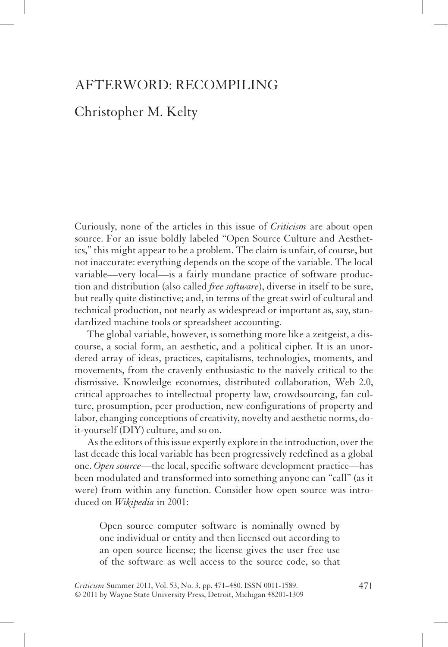# Afterword: Recompiling Christopher M. Kelty

Curiously, none of the articles in this issue of *Criticism* are about open source. For an issue boldly labeled "Open Source Culture and Aesthetics," this might appear to be a problem. The claim is unfair, of course, but not inaccurate: everything depends on the scope of the variable. The local variable—very local—is a fairly mundane practice of software production and distribution (also called *free software*), diverse in itself to be sure, but really quite distinctive; and, in terms of the great swirl of cultural and technical production, not nearly as widespread or important as, say, standardized machine tools or spreadsheet accounting.

The global variable, however, is something more like a zeitgeist, a discourse, a social form, an aesthetic, and a political cipher. It is an unordered array of ideas, practices, capitalisms, technologies, moments, and movements, from the cravenly enthusiastic to the naively critical to the dismissive. Knowledge economies, distributed collaboration, Web 2.0, critical approaches to intellectual property law, crowdsourcing, fan culture, prosumption, peer production, new configurations of property and labor, changing conceptions of creativity, novelty and aesthetic norms, doit-yourself (DIY) culture, and so on.

As the editors of this issue expertly explore in the introduction, over the last decade this local variable has been progressively redefined as a global one. *Open source*—the local, specific software development practice—has been modulated and transformed into something anyone can "call" (as it were) from within any function. Consider how open source was introduced on *Wikipedia* in 2001:

Open source computer software is nominally owned by one individual or entity and then licensed out according to an open source license; the license gives the user free use of the software as well access to the source code, so that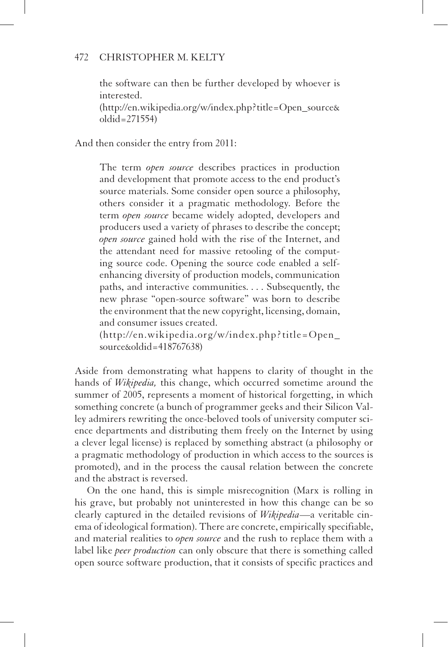the software can then be further developed by whoever is interested.

(http://en.wikipedia.org/w/index.php?title=Open\_source& oldid=271554)

And then consider the entry from 2011:

The term *open source* describes practices in production and development that promote access to the end product's source materials. Some consider open source a philosophy, others consider it a pragmatic methodology. Before the term *open source* became widely adopted, developers and producers used a variety of phrases to describe the concept; *open source* gained hold with the rise of the Internet, and the attendant need for massive retooling of the computing source code. Opening the source code enabled a selfenhancing diversity of production models, communication paths, and interactive communities. . . . Subsequently, the new phrase "open-source software" was born to describe the environment that the new copyright, licensing, domain, and consumer issues created.

(http://en.wikipedia.org/w/index.php?title=Open\_ source&oldid=418767638)

Aside from demonstrating what happens to clarity of thought in the hands of *Wikipedia,* this change, which occurred sometime around the summer of 2005, represents a moment of historical forgetting, in which something concrete (a bunch of programmer geeks and their Silicon Valley admirers rewriting the once-beloved tools of university computer science departments and distributing them freely on the Internet by using a clever legal license) is replaced by something abstract (a philosophy or a pragmatic methodology of production in which access to the sources is promoted), and in the process the causal relation between the concrete and the abstract is reversed.

On the one hand, this is simple misrecognition (Marx is rolling in his grave, but probably not uninterested in how this change can be so clearly captured in the detailed revisions of *Wikipedia*—a veritable cinema of ideological formation). There are concrete, empirically specifiable, and material realities to *open source* and the rush to replace them with a label like *peer production* can only obscure that there is something called open source software production, that it consists of specific practices and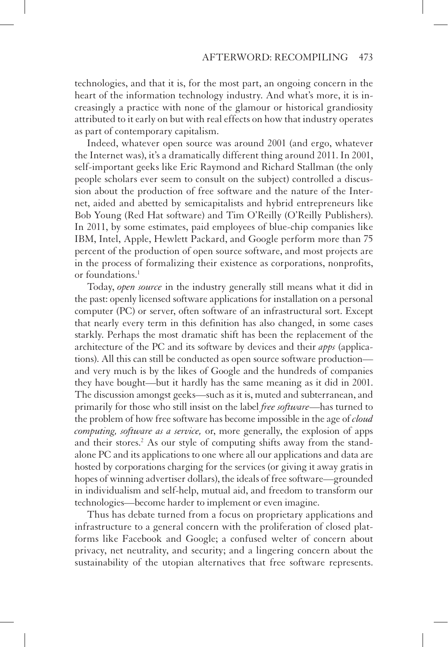technologies, and that it is, for the most part, an ongoing concern in the heart of the information technology industry. And what's more, it is increasingly a practice with none of the glamour or historical grandiosity attributed to it early on but with real effects on how that industry operates as part of contemporary capitalism.

Indeed, whatever open source was around 2001 (and ergo, whatever the Internet was), it's a dramatically different thing around 2011. In 2001, self-important geeks like Eric Raymond and Richard Stallman (the only people scholars ever seem to consult on the subject) controlled a discussion about the production of free software and the nature of the Internet, aided and abetted by semicapitalists and hybrid entrepreneurs like Bob Young (Red Hat software) and Tim O'Reilly (O'Reilly Publishers). In 2011, by some estimates, paid employees of blue-chip companies like IBM, Intel, Apple, Hewlett Packard, and Google perform more than 75 percent of the production of open source software, and most projects are in the process of formalizing their existence as corporations, nonprofits, or foundations.<sup>1</sup>

Today, *open source* in the industry generally still means what it did in the past: openly licensed software applications for installation on a personal computer (PC) or server, often software of an infrastructural sort. Except that nearly every term in this definition has also changed, in some cases starkly. Perhaps the most dramatic shift has been the replacement of the architecture of the PC and its software by devices and their *apps* (applications). All this can still be conducted as open source software production and very much is by the likes of Google and the hundreds of companies they have bought—but it hardly has the same meaning as it did in 2001. The discussion amongst geeks—such as it is, muted and subterranean, and primarily for those who still insist on the label *free software*—has turned to the problem of how free software has become impossible in the age of *cloud computing, software as a service,* or, more generally, the explosion of apps and their stores.<sup>2</sup> As our style of computing shifts away from the standalone PC and its applications to one where all our applications and data are hosted by corporations charging for the services (or giving it away gratis in hopes of winning advertiser dollars), the ideals of free software—grounded in individualism and self-help, mutual aid, and freedom to transform our technologies—become harder to implement or even imagine.

Thus has debate turned from a focus on proprietary applications and infrastructure to a general concern with the proliferation of closed platforms like Facebook and Google; a confused welter of concern about privacy, net neutrality, and security; and a lingering concern about the sustainability of the utopian alternatives that free software represents.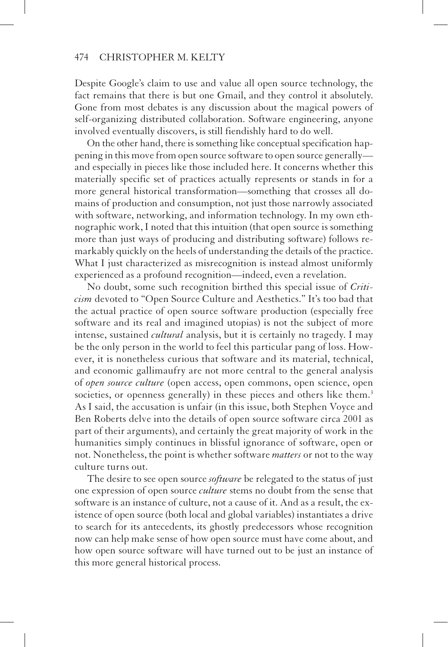Despite Google's claim to use and value all open source technology, the fact remains that there is but one Gmail, and they control it absolutely. Gone from most debates is any discussion about the magical powers of self-organizing distributed collaboration. Software engineering, anyone involved eventually discovers, is still fiendishly hard to do well.

On the other hand, there is something like conceptual specification happening in this move from open source software to open source generally and especially in pieces like those included here. It concerns whether this materially specific set of practices actually represents or stands in for a more general historical transformation—something that crosses all domains of production and consumption, not just those narrowly associated with software, networking, and information technology. In my own ethnographic work, I noted that this intuition (that open source is something more than just ways of producing and distributing software) follows remarkably quickly on the heels of understanding the details of the practice. What I just characterized as misrecognition is instead almost uniformly experienced as a profound recognition—indeed, even a revelation.

No doubt, some such recognition birthed this special issue of *Criticism* devoted to "Open Source Culture and Aesthetics." It's too bad that the actual practice of open source software production (especially free software and its real and imagined utopias) is not the subject of more intense, sustained *cultural* analysis, but it is certainly no tragedy. I may be the only person in the world to feel this particular pang of loss. However, it is nonetheless curious that software and its material, technical, and economic gallimaufry are not more central to the general analysis of *open source culture* (open access, open commons, open science, open societies, or openness generally) in these pieces and others like them.<sup>3</sup> As I said, the accusation is unfair (in this issue, both Stephen Voyce and Ben Roberts delve into the details of open source software circa 2001 as part of their arguments), and certainly the great majority of work in the humanities simply continues in blissful ignorance of software, open or not. Nonetheless, the point is whether software *matters* or not to the way culture turns out.

The desire to see open source *software* be relegated to the status of just one expression of open source *culture* stems no doubt from the sense that software is an instance of culture, not a cause of it. And as a result, the existence of open source (both local and global variables) instantiates a drive to search for its antecedents, its ghostly predecessors whose recognition now can help make sense of how open source must have come about, and how open source software will have turned out to be just an instance of this more general historical process.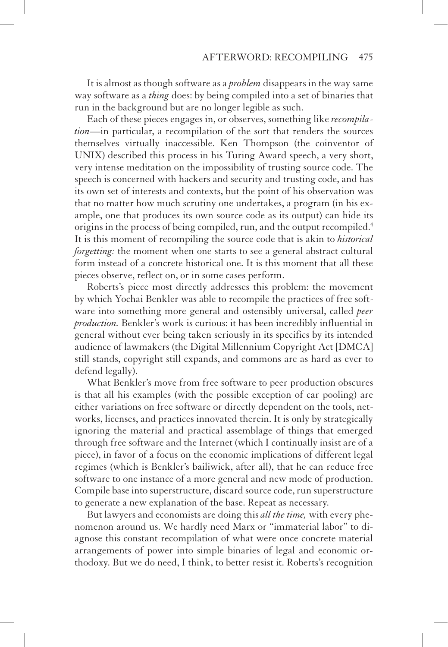It is almost as though software as a *problem* disappears in the way same way software as a *thing* does: by being compiled into a set of binaries that run in the background but are no longer legible as such.

Each of these pieces engages in, or observes, something like *recompilation*—in particular, a recompilation of the sort that renders the sources themselves virtually inaccessible. Ken Thompson (the coinventor of UNIX) described this process in his Turing Award speech, a very short, very intense meditation on the impossibility of trusting source code. The speech is concerned with hackers and security and trusting code, and has its own set of interests and contexts, but the point of his observation was that no matter how much scrutiny one undertakes, a program (in his example, one that produces its own source code as its output) can hide its origins in the process of being compiled, run, and the output recompiled.<sup>4</sup> It is this moment of recompiling the source code that is akin to *historical forgetting:* the moment when one starts to see a general abstract cultural form instead of a concrete historical one. It is this moment that all these pieces observe, reflect on, or in some cases perform.

Roberts's piece most directly addresses this problem: the movement by which Yochai Benkler was able to recompile the practices of free software into something more general and ostensibly universal, called *peer production.* Benkler's work is curious: it has been incredibly influential in general without ever being taken seriously in its specifics by its intended audience of lawmakers (the Digital Millennium Copyright Act [DMCA] still stands, copyright still expands, and commons are as hard as ever to defend legally).

What Benkler's move from free software to peer production obscures is that all his examples (with the possible exception of car pooling) are either variations on free software or directly dependent on the tools, networks, licenses, and practices innovated therein. It is only by strategically ignoring the material and practical assemblage of things that emerged through free software and the Internet (which I continually insist are of a piece), in favor of a focus on the economic implications of different legal regimes (which is Benkler's bailiwick, after all), that he can reduce free software to one instance of a more general and new mode of production. Compile base into superstructure, discard source code, run superstructure to generate a new explanation of the base. Repeat as necessary.

But lawyers and economists are doing this *all the time,* with every phenomenon around us. We hardly need Marx or "immaterial labor" to diagnose this constant recompilation of what were once concrete material arrangements of power into simple binaries of legal and economic orthodoxy. But we do need, I think, to better resist it. Roberts's recognition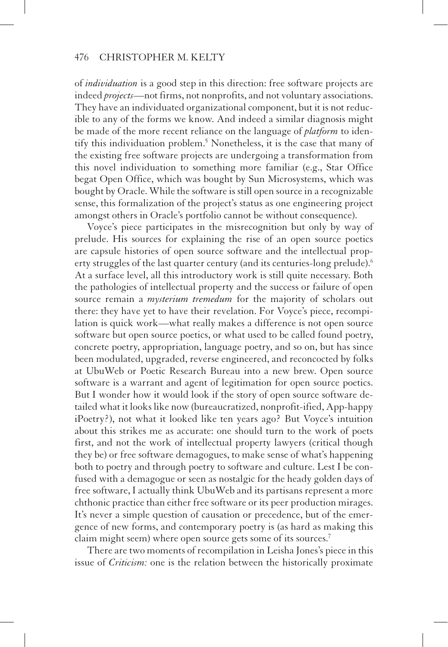of *individuation* is a good step in this direction: free software projects are indeed *projects*—not firms, not nonprofits, and not voluntary associations. They have an individuated organizational component, but it is not reducible to any of the forms we know. And indeed a similar diagnosis might be made of the more recent reliance on the language of *platform* to identify this individuation problem.5 Nonetheless, it is the case that many of the existing free software projects are undergoing a transformation from this novel individuation to something more familiar (e.g., Star Office begat Open Office, which was bought by Sun Microsystems, which was bought by Oracle. While the software is still open source in a recognizable sense, this formalization of the project's status as one engineering project amongst others in Oracle's portfolio cannot be without consequence).

Voyce's piece participates in the misrecognition but only by way of prelude. His sources for explaining the rise of an open source poetics are capsule histories of open source software and the intellectual property struggles of the last quarter century (and its centuries-long prelude).<sup>6</sup> At a surface level, all this introductory work is still quite necessary. Both the pathologies of intellectual property and the success or failure of open source remain a *mysterium tremedum* for the majority of scholars out there: they have yet to have their revelation. For Voyce's piece, recompilation is quick work—what really makes a difference is not open source software but open source poetics, or what used to be called found poetry, concrete poetry, appropriation, language poetry, and so on, but has since been modulated, upgraded, reverse engineered, and reconcocted by folks at UbuWeb or Poetic Research Bureau into a new brew. Open source software is a warrant and agent of legitimation for open source poetics. But I wonder how it would look if the story of open source software detailed what it looks like now (bureaucratized, nonprofit-ified, App-happy iPoetry?), not what it looked like ten years ago? But Voyce's intuition about this strikes me as accurate: one should turn to the work of poets first, and not the work of intellectual property lawyers (critical though they be) or free software demagogues, to make sense of what's happening both to poetry and through poetry to software and culture. Lest I be confused with a demagogue or seen as nostalgic for the heady golden days of free software, I actually think UbuWeb and its partisans represent a more chthonic practice than either free software or its peer production mirages. It's never a simple question of causation or precedence, but of the emergence of new forms, and contemporary poetry is (as hard as making this claim might seem) where open source gets some of its sources.<sup>7</sup>

There are two moments of recompilation in Leisha Jones's piece in this issue of *Criticism:* one is the relation between the historically proximate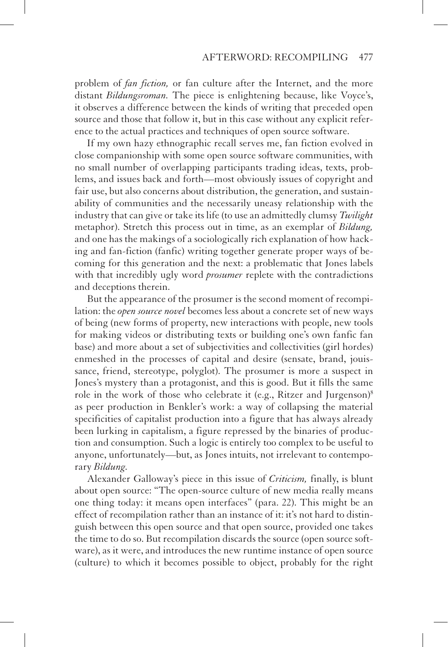problem of *fan fiction,* or fan culture after the Internet, and the more distant *Bildungsroman.* The piece is enlightening because, like Voyce's, it observes a difference between the kinds of writing that preceded open source and those that follow it, but in this case without any explicit reference to the actual practices and techniques of open source software.

If my own hazy ethnographic recall serves me, fan fiction evolved in close companionship with some open source software communities, with no small number of overlapping participants trading ideas, texts, problems, and issues back and forth—most obviously issues of copyright and fair use, but also concerns about distribution, the generation, and sustainability of communities and the necessarily uneasy relationship with the industry that can give or take its life (to use an admittedly clumsy *Twilight* metaphor). Stretch this process out in time, as an exemplar of *Bildung,* and one has the makings of a sociologically rich explanation of how hacking and fan-fiction (fanfic) writing together generate proper ways of becoming for this generation and the next: a problematic that Jones labels with that incredibly ugly word *prosumer* replete with the contradictions and deceptions therein.

But the appearance of the prosumer is the second moment of recompilation: the *open source novel* becomes less about a concrete set of new ways of being (new forms of property, new interactions with people, new tools for making videos or distributing texts or building one's own fanfic fan base) and more about a set of subjectivities and collectivities (girl hordes) enmeshed in the processes of capital and desire (sensate, brand, jouissance, friend, stereotype, polyglot). The prosumer is more a suspect in Jones's mystery than a protagonist, and this is good. But it fills the same role in the work of those who celebrate it (e.g., Ritzer and Jurgenson)<sup>8</sup> as peer production in Benkler's work: a way of collapsing the material specificities of capitalist production into a figure that has always already been lurking in capitalism, a figure repressed by the binaries of production and consumption. Such a logic is entirely too complex to be useful to anyone, unfortunately—but, as Jones intuits, not irrelevant to contemporary *Bildung.*

Alexander Galloway's piece in this issue of *Criticism,* finally, is blunt about open source: "The open-source culture of new media really means one thing today: it means open interfaces" (para. 22). This might be an effect of recompilation rather than an instance of it: it's not hard to distinguish between this open source and that open source, provided one takes the time to do so. But recompilation discards the source (open source software), as it were, and introduces the new runtime instance of open source (culture) to which it becomes possible to object, probably for the right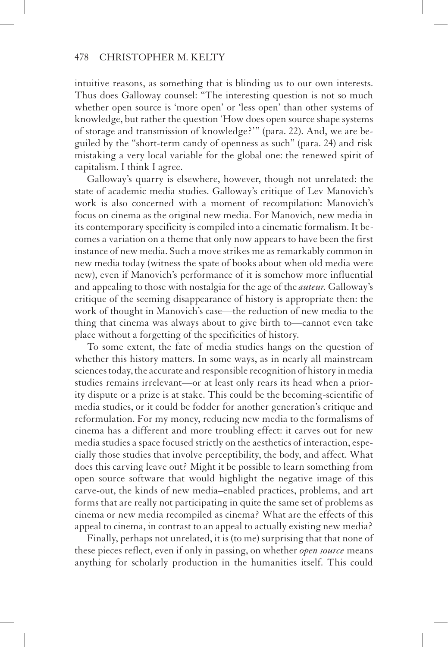intuitive reasons, as something that is blinding us to our own interests. Thus does Galloway counsel: "The interesting question is not so much whether open source is 'more open' or 'less open' than other systems of knowledge, but rather the question 'How does open source shape systems of storage and transmission of knowledge?'" (para. 22). And, we are beguiled by the "short-term candy of openness as such" (para. 24) and risk mistaking a very local variable for the global one: the renewed spirit of capitalism. I think I agree.

Galloway's quarry is elsewhere, however, though not unrelated: the state of academic media studies. Galloway's critique of Lev Manovich's work is also concerned with a moment of recompilation: Manovich's focus on cinema as the original new media. For Manovich, new media in its contemporary specificity is compiled into a cinematic formalism. It becomes a variation on a theme that only now appears to have been the first instance of new media. Such a move strikes me as remarkably common in new media today (witness the spate of books about when old media were new), even if Manovich's performance of it is somehow more influential and appealing to those with nostalgia for the age of the *auteur.* Galloway's critique of the seeming disappearance of history is appropriate then: the work of thought in Manovich's case—the reduction of new media to the thing that cinema was always about to give birth to—cannot even take place without a forgetting of the specificities of history.

To some extent, the fate of media studies hangs on the question of whether this history matters. In some ways, as in nearly all mainstream sciences today, the accurate and responsible recognition of history in media studies remains irrelevant—or at least only rears its head when a priority dispute or a prize is at stake. This could be the becoming-scientific of media studies, or it could be fodder for another generation's critique and reformulation. For my money, reducing new media to the formalisms of cinema has a different and more troubling effect: it carves out for new media studies a space focused strictly on the aesthetics of interaction, especially those studies that involve perceptibility, the body, and affect. What does this carving leave out? Might it be possible to learn something from open source software that would highlight the negative image of this carve-out, the kinds of new media–enabled practices, problems, and art forms that are really not participating in quite the same set of problems as cinema or new media recompiled as cinema? What are the effects of this appeal to cinema, in contrast to an appeal to actually existing new media?

Finally, perhaps not unrelated, it is (to me) surprising that that none of these pieces reflect, even if only in passing, on whether *open source* means anything for scholarly production in the humanities itself. This could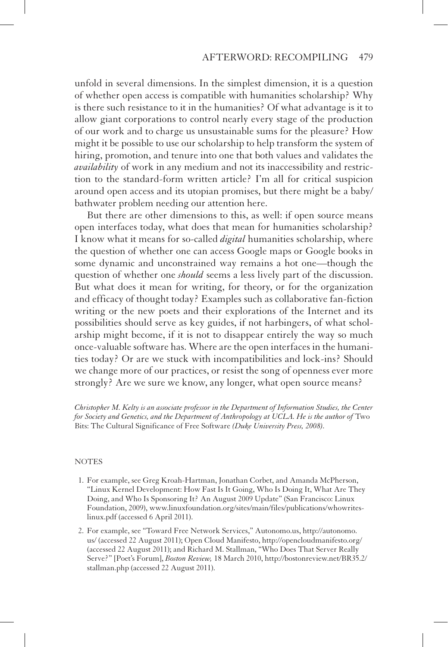unfold in several dimensions. In the simplest dimension, it is a question of whether open access is compatible with humanities scholarship? Why is there such resistance to it in the humanities? Of what advantage is it to allow giant corporations to control nearly every stage of the production of our work and to charge us unsustainable sums for the pleasure? How might it be possible to use our scholarship to help transform the system of hiring, promotion, and tenure into one that both values and validates the *availability* of work in any medium and not its inaccessibility and restriction to the standard-form written article? I'm all for critical suspicion around open access and its utopian promises, but there might be a baby/ bathwater problem needing our attention here.

But there are other dimensions to this, as well: if open source means open interfaces today, what does that mean for humanities scholarship? I know what it means for so-called *digital* humanities scholarship, where the question of whether one can access Google maps or Google books in some dynamic and unconstrained way remains a hot one—though the question of whether one *should* seems a less lively part of the discussion. But what does it mean for writing, for theory, or for the organization and efficacy of thought today? Examples such as collaborative fan-fiction writing or the new poets and their explorations of the Internet and its possibilities should serve as key guides, if not harbingers, of what scholarship might become, if it is not to disappear entirely the way so much once-valuable software has. Where are the open interfaces in the humanities today? Or are we stuck with incompatibilities and lock-ins? Should we change more of our practices, or resist the song of openness ever more strongly? Are we sure we know, any longer, what open source means?

*Christopher M. Kelty is an associate professor in the Department of Information Studies, the Center*  for Society and Genetics, and the Department of Anthropology at UCLA. He is the author of Two Bits: The Cultural Significance of Free Software *(Duke University Press, 2008).*

#### **NOTES**

- 1. For example, see Greg Kroah-Hartman, Jonathan Corbet, and Amanda McPherson, "Linux Kernel Development: How Fast Is It Going, Who Is Doing It, What Are They Doing, and Who Is Sponsoring It? An August 2009 Update" (San Francisco: Linux Foundation, 2009), www.linuxfoundation.org/sites/main/files/publications/whowriteslinux.pdf (accessed 6 April 2011).
- 2. For example, see "Toward Free Network Services," Autonomo.us, http://autonomo. us/ (accessed 22 August 2011); Open Cloud Manifesto, http://opencloudmanifesto.org/ (accessed 22 August 2011); and Richard M. Stallman, "Who Does That Server Really Serve?" [Poet's Forum], *Boston Review,* 18 March 2010, http://bostonreview.net/BR35.2/ stallman.php (accessed 22 August 2011).